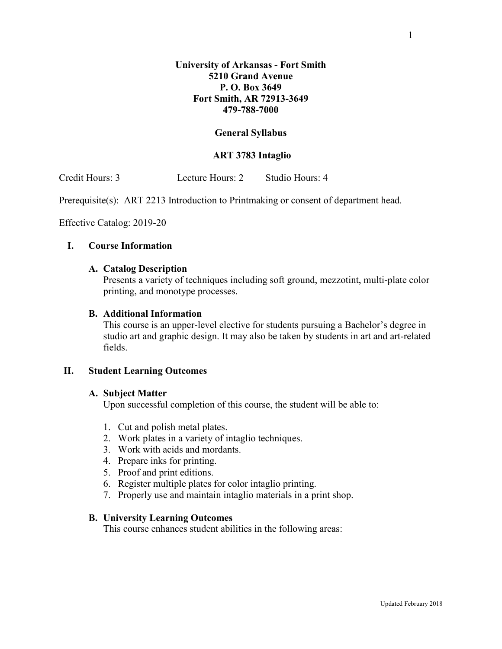## **General Syllabus**

## **ART 3783 Intaglio**

Credit Hours: 3 Lecture Hours: 2 Studio Hours: 4

Prerequisite(s): ART 2213 Introduction to Printmaking or consent of department head.

Effective Catalog: 2019-20

### **I. Course Information**

### **A. Catalog Description**

Presents a variety of techniques including soft ground, mezzotint, multi-plate color printing, and monotype processes.

### **B. Additional Information**

This course is an upper-level elective for students pursuing a Bachelor's degree in studio art and graphic design. It may also be taken by students in art and art-related fields.

## **II. Student Learning Outcomes**

#### **A. Subject Matter**

Upon successful completion of this course, the student will be able to:

- 1. Cut and polish metal plates.
- 2. Work plates in a variety of intaglio techniques.
- 3. Work with acids and mordants.
- 4. Prepare inks for printing.
- 5. Proof and print editions.
- 6. Register multiple plates for color intaglio printing.
- 7. Properly use and maintain intaglio materials in a print shop.

### **B. University Learning Outcomes**

This course enhances student abilities in the following areas: